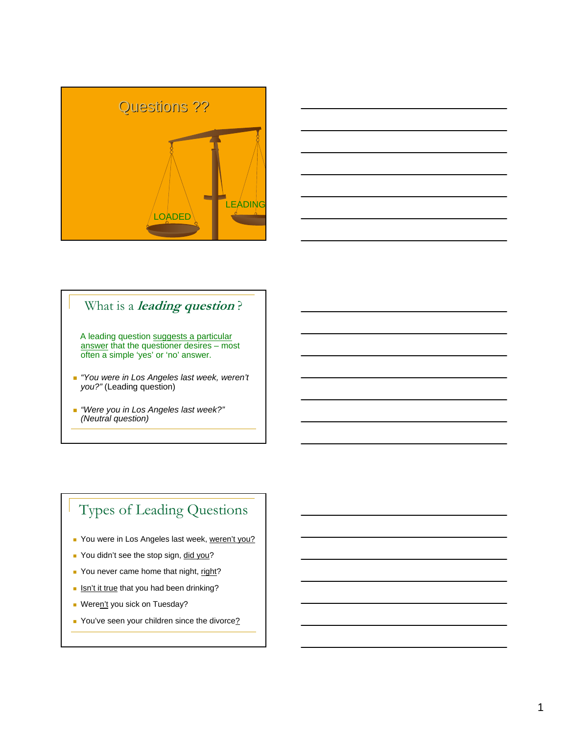



### What is a **leading question** ?

A leading question suggests a particular answer that the questioner desires – most often a simple 'yes' or 'no' answer.

- *"You were in Los Angeles last week, weren't you?"* (Leading question)
- *"Were you in Los Angeles last week?" (Neutral question)*

# Types of Leading Questions

- You were in Los Angeles last week, weren't you?
- You didn't see the stop sign, did you?
- You never came home that night, right?
- **Isn't it true that you had been drinking?**
- Weren't you sick on Tuesday?
- You've seen your children since the divorce?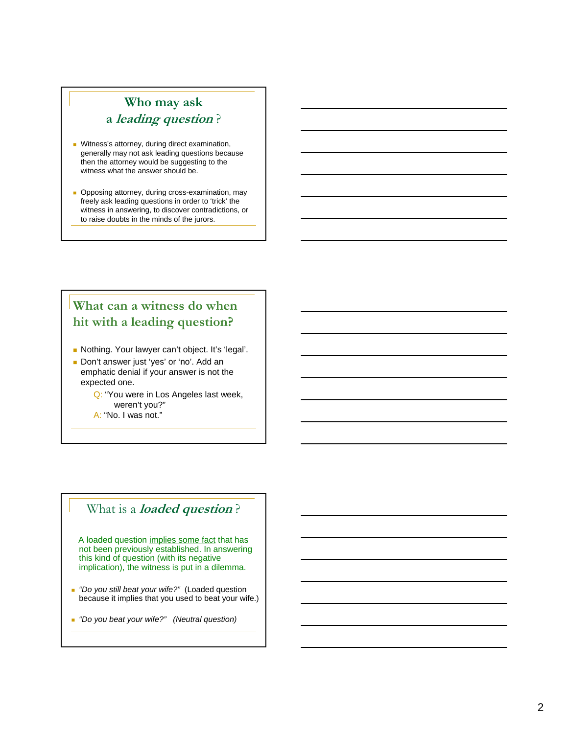### **Who may ask a leading question** ?

- **Witness's attorney, during direct examination,** generally may not ask leading questions because then the attorney would be suggesting to the witness what the answer should be.
- **Opposing attorney, during cross-examination, may** freely ask leading questions in order to 'trick' the witness in answering, to discover contradictions, or to raise doubts in the minds of the jurors.

### **What can a witness do when hit with a leading question?**

- Nothing. Your lawyer can't object. It's 'legal'.
- Don't answer just 'yes' or 'no'. Add an emphatic denial if your answer is not the expected one.
	- Q: "You were in Los Angeles last week, weren't you?"
	- A: "No. I was not."

#### What is a **loaded question** ?

A loaded question implies some fact that has not been previously established. In answering this kind of question (with its negative implication), the witness is put in a dilemma.

- *"Do you still beat your wife?"* (Loaded question because it implies that you used to beat your wife.)
- *"Do you beat your wife?" (Neutral question)*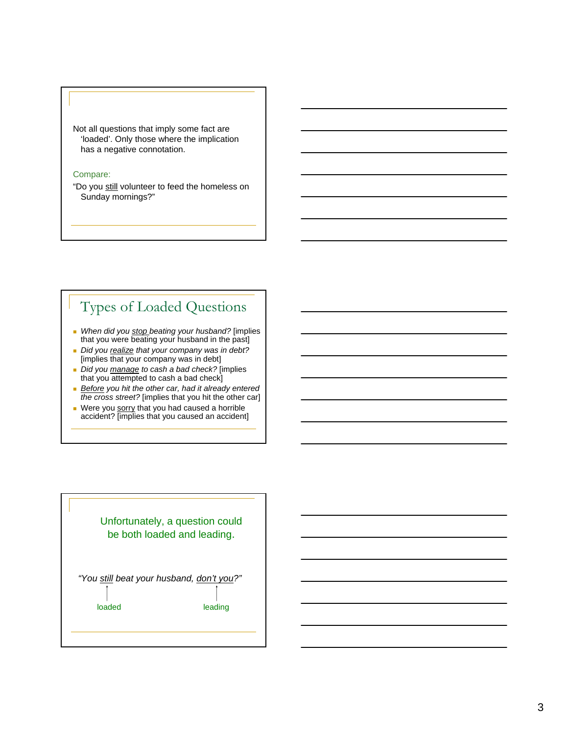

#### Compare:

"Do you still volunteer to feed the homeless on Sunday mornings?"

# Types of Loaded Questions

- *When did you stop beating your husband?* [implies that you were beating your husband in the past]
- *Did you realize that your company was in debt?*  [implies that your company was in debt]
- *Did you manage to cash a bad check?* [implies that you attempted to cash a bad check]
- *Before you hit the other car, had it already entered the cross street?* [implies that you hit the other car]
- Were you sorry that you had caused a horrible accident? [implies that you caused an accident]